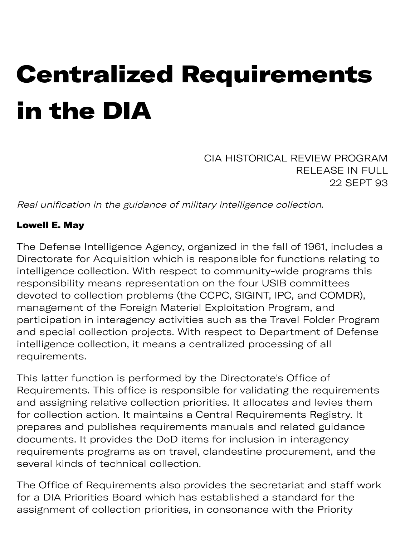# Centralized Requirements in the DIA

CIA HISTORICAL REVIEW PROGRAM RELEASE IN FULL 22 SEPT 93

Real unification in the guidance of military intelligence collection.

#### Lowell E. May

The Defense Intelligence Agency, organized in the fall of 1961, includes a Directorate for Acquisition which is responsible for functions relating to intelligence collection. With respect to community-wide programs this responsibility means representation on the four USIB committees devoted to collection problems (the CCPC, SIGINT, IPC, and COMDR), management of the Foreign Materiel Exploitation Program, and participation in interagency activities such as the Travel Folder Program and special collection projects. With respect to Department of Defense intelligence collection, it means a centralized processing of all requirements.

This latter function is performed by the Directorate's Office of Requirements. This office is responsible for validating the requirements and assigning relative collection priorities. It allocates and levies them for collection action. It maintains a Central Requirements Registry. It prepares and publishes requirements manuals and related guidance documents. It provides the DoD items for inclusion in interagency requirements programs as on travel, clandestine procurement, and the several kinds of technical collection.

The Office of Requirements also provides the secretariat and staff work for a DIA Priorities Board which has established a standard for the assignment of collection priorities, in consonance with the Priority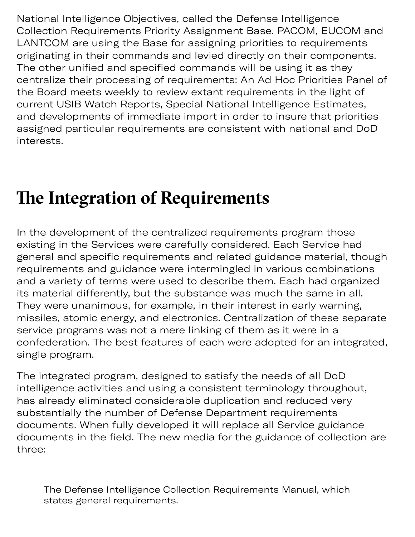National Intelligence Objectives, called the Defense Intelligence Collection Requirements Priority Assignment Base. PACOM, EUCOM and LANTCOM are using the Base for assigning priorities to requirements originating in their commands and levied directly on their components. The other unified and specified commands will be using it as they centralize their processing of requirements: An Ad Hoc Priorities Panel of the Board meets weekly to review extant requirements in the light of current USIB Watch Reports, Special National Intelligence Estimates, and developments of immediate import in order to insure that priorities assigned particular requirements are consistent with national and DoD interests.

## **The Integration of Requirements**

In the development of the centralized requirements program those existing in the Services were carefully considered. Each Service had general and specific requirements and related guidance material, though requirements and guidance were intermingled in various combinations and a variety of terms were used to describe them. Each had organized its material differently, but the substance was much the same in all. They were unanimous, for example, in their interest in early warning, missiles, atomic energy, and electronics. Centralization of these separate service programs was not a mere linking of them as it were in a confederation. The best features of each were adopted for an integrated, single program.

The integrated program, designed to satisfy the needs of all DoD intelligence activities and using a consistent terminology throughout, has already eliminated considerable duplication and reduced very substantially the number of Defense Department requirements documents. When fully developed it will replace all Service guidance documents in the field. The new media for the guidance of collection are three:

The Defense Intelligence Collection Requirements Manual, which states general requirements.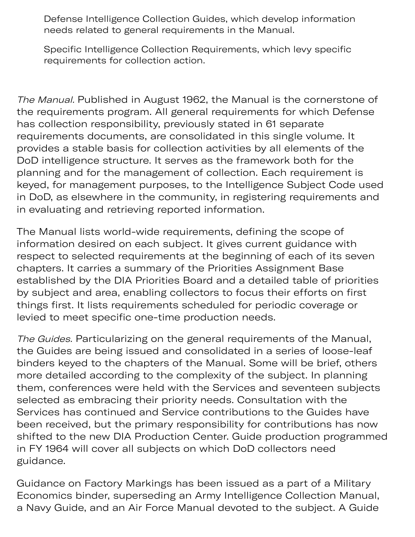Defense Intelligence Collection Guides, which develop information needs related to general requirements in the Manual.

Specific Intelligence Collection Requirements, which levy specific requirements for collection action.

The Manual. Published in August 1962, the Manual is the cornerstone of the requirements program. All general requirements for which Defense has collection responsibility, previously stated in 61 separate requirements documents, are consolidated in this single volume. It provides a stable basis for collection activities by all elements of the DoD intelligence structure. It serves as the framework both for the planning and for the management of collection. Each requirement is keyed, for management purposes, to the Intelligence Subject Code used in DoD, as elsewhere in the community, in registering requirements and in evaluating and retrieving reported information.

The Manual lists world-wide requirements, defining the scope of information desired on each subject. It gives current guidance with respect to selected requirements at the beginning of each of its seven chapters. It carries a summary of the Priorities Assignment Base established by the DIA Priorities Board and a detailed table of priorities by subject and area, enabling collectors to focus their efforts on first things first. It lists requirements scheduled for periodic coverage or levied to meet specific one-time production needs.

The Guides. Particularizing on the general requirements of the Manual, the Guides are being issued and consolidated in a series of loose-leaf binders keyed to the chapters of the Manual. Some will be brief, others more detailed according to the complexity of the subject. In planning them, conferences were held with the Services and seventeen subjects selected as embracing their priority needs. Consultation with the Services has continued and Service contributions to the Guides have been received, but the primary responsibility for contributions has now shifted to the new DIA Production Center. Guide production programmed in FY 1964 will cover all subjects on which DoD collectors need guidance.

Guidance on Factory Markings has been issued as a part of a Military Economics binder, superseding an Army Intelligence Collection Manual, a Navy Guide, and an Air Force Manual devoted to the subject. A Guide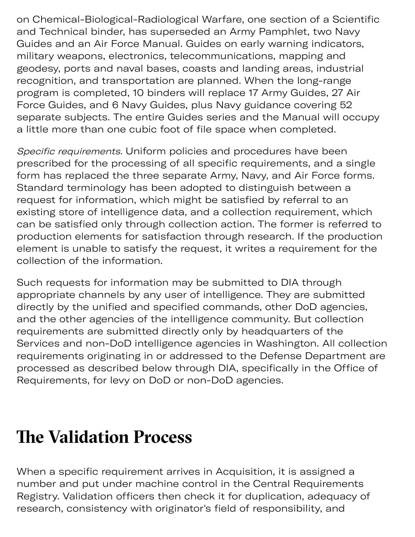on Chemical-Biological-Radiological Warfare, one section of a Scientific and Technical binder, has superseded an Army Pamphlet, two Navy Guides and an Air Force Manual. Guides on early warning indicators, military weapons, electronics, telecommunications, mapping and geodesy, ports and naval bases, coasts and landing areas, industrial recognition, and transportation are planned. When the long-range program is completed, 10 binders will replace 17 Army Guides, 27 Air Force Guides, and 6 Navy Guides, plus Navy guidance covering 52 separate subjects. The entire Guides series and the Manual will occupy a little more than one cubic foot of file space when completed.

y Guide e subje

Specific requirements. Uniform policies and procedures have been prescribed for the processing of all specific requirements, and a single form has replaced the three separate Army, Navy, and Air Force forms. Standard terminology has been adopted to distinguish between a request for information, which might be satisfied by referral to an existing store of intelligence data, and a collection requirement, which can be satisfied only through collection action. The former is referred to production elements for satisfaction through research. If the production element is unable to satisfy the request, it writes a requirement for the collection of the information.

Such requests for information may be submitted to DIA through appropriate channels by any user of intelligence. They are submitted directly by the unified and specified commands, other DoD agencies, and the other agencies of the intelligence community. But collection requirements are submitted directly only by headquarters of the Services and non-DoD intelligence agencies in Washington. All collection requirements originating in or addressed to the Defense Department are processed as described below through DIA, specifically in the Office of Requirements, for levy on DoD or non-DoD agencies.

### **Te Validation Process**

When a specific requirement arrives in Acquisition, it is assigned a number and put under machine control in the Central Requirements Registry. Validation officers then check it for duplication, adequacy of research, consistency with originator's field of responsibility, and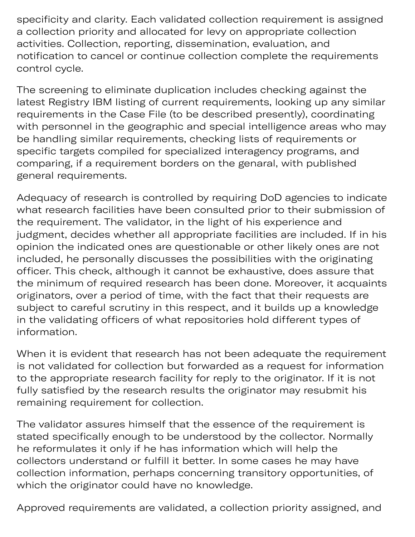$y = \frac{1}{2}$  with original space  $y = \frac{1}{2}$  with original space  $y = \frac{1}{2}$ specificity and clarity. Each validated collection requirement is assigned a collection priority and allocated for levy on appropriate collection activities. Collection, reporting, dissemination, evaluation, and notification to cancel or continue collection complete the requirements control cycle.

The screening to eliminate duplication includes checking against the latest Registry IBM listing of current requirements, looking up any similar requirements in the Case File (to be described presently), coordinating with personnel in the geographic and special intelligence areas who may be handling similar requirements, checking lists of requirements or specific targets compiled for specialized interagency programs, and comparing, if a requirement borders on the genaral, with published general requirements.

Adequacy of research is controlled by requiring DoD agencies to indicate what research facilities have been consulted prior to their submission of the requirement. The validator, in the light of his experience and judgment, decides whether all appropriate facilities are included. If in his opinion the indicated ones are questionable or other likely ones are not included, he personally discusses the possibilities with the originating officer. This check, although it cannot be exhaustive, does assure that the minimum of required research has been done. Moreover, it acquaints originators, over a period of time, with the fact that their requests are subject to careful scrutiny in this respect, and it builds up a knowledge in the validating officers of what repositories hold different types of information.

When it is evident that research has not been adequate the requirement is not validated for collection but forwarded as a request for information to the appropriate research facility for reply to the originator. If it is not fully satisfied by the research results the originator may resubmit his remaining requirement for collection.

The validator assures himself that the essence of the requirement is stated specifically enough to be understood by the collector. Normally he reformulates it only if he has information which will help the collectors understand or fulfill it better. In some cases he may have collection information, perhaps concerning transitory opportunities, of which the originator could have no knowledge.

Approved requirements are validated, a collection priority assigned, and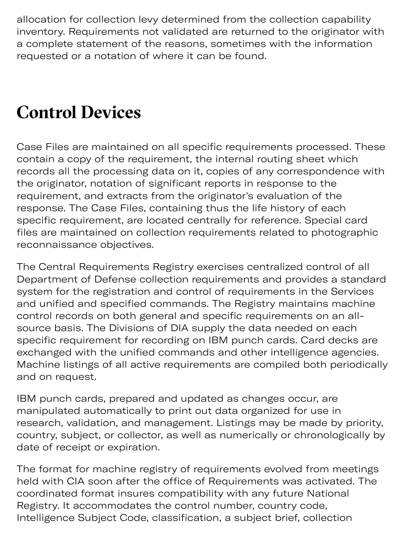$A_{\rm{max}}$  assigned to the priority assigned to the priority assigned to the priority assigned to the priority assigned to the priority assigned to the priority assigned to the priority assigned to the priority assigned to allocation for collection levy determined from the collection capability inventory. Requirements not validated are returned to the originator with a complete statement of the reasons, sometimes with the information requested or a notation of where it can be found.

### **Control Devices**

Case Files are maintained on all specific requirements processed. These contain a copy of the requirement, the internal routing sheet which records all the processing data on it, copies of any correspondence with the originator, notation of significant reports in response to the requirement, and extracts from the originator's evaluation of the response. The Case Files, containing thus the life history of each specific requirement, are located centrally for reference. Special card files are maintained on collection requirements related to photographic reconnaissance objectives.

The Central Requirements Registry exercises centralized control of all Department of Defense collection requirements and provides a standard system for the registration and control of requirements in the Services and unified and specified commands. The Registry maintains machine control records on both general and specific requirements on an allsource basis. The Divisions of DIA supply the data needed on each specific requirement for recording on IBM punch cards. Card decks are exchanged with the unified commands and other intelligence agencies. Machine listings of all active requirements are compiled both periodically and on request.

IBM punch cards, prepared and updated as changes occur, are manipulated automatically to print out data organized for use in research, validation, and management. Listings may be made by priority, country, subject, or collector, as well as numerically or chronologically by date of receipt or expiration.

The format for machine registry of requirements evolved from meetings held with CIA soon after the office of Requirements was activated. The coordinated format insures compatibility with any future National Registry. It accommodates the control number, country code, Intelligence Subject Code, classification, a subject brief, collection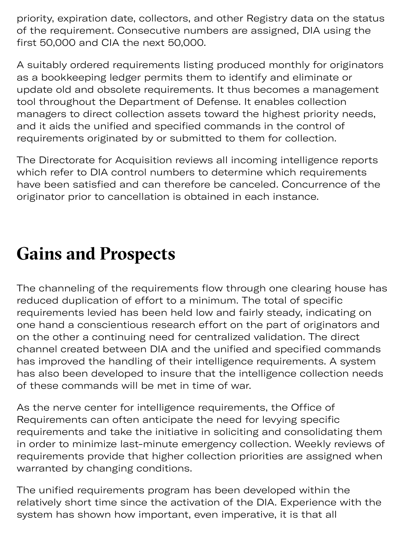priority, expiration date, collectors, and other Registry data on the status of the requirement. Consecutive numbers are assigned, DIA using the first 50,000 and CIA the next 50,000.

A suitably ordered requirements listing produced monthly for originators as a bookkeeping ledger permits them to identify and eliminate or update old and obsolete requirements. It thus becomes a management tool throughout the Department of Defense. It enables collection managers to direct collection assets toward the highest priority needs, and it aids the unified and specified commands in the control of requirements originated by or submitted to them for collection.

The Directorate for Acquisition reviews all incoming intelligence reports which refer to DIA control numbers to determine which requirements have been satisfied and can therefore be canceled. Concurrence of the originator prior to cancellation is obtained in each instance.

#### **Gains and Prospects**

The channeling of the requirements flow through one clearing house has reduced duplication of effort to a minimum. The total of specific requirements levied has been held low and fairly steady, indicating on one hand a conscientious research effort on the part of originators and on the other a continuing need for centralized validation. The direct channel created between DIA and the unified and specified commands has improved the handling of their intelligence requirements. A system has also been developed to insure that the intelligence collection needs of these commands will be met in time of war.

As the nerve center for intelligence requirements, the Office of Requirements can often anticipate the need for levying specific requirements and take the initiative in soliciting and consolidating them in order to minimize last-minute emergency collection. Weekly reviews of requirements provide that higher collection priorities are assigned when warranted by changing conditions.

The unified requirements program has been developed within the relatively short time since the activation of the DIA. Experience with the system has shown how important, even imperative, it is that all